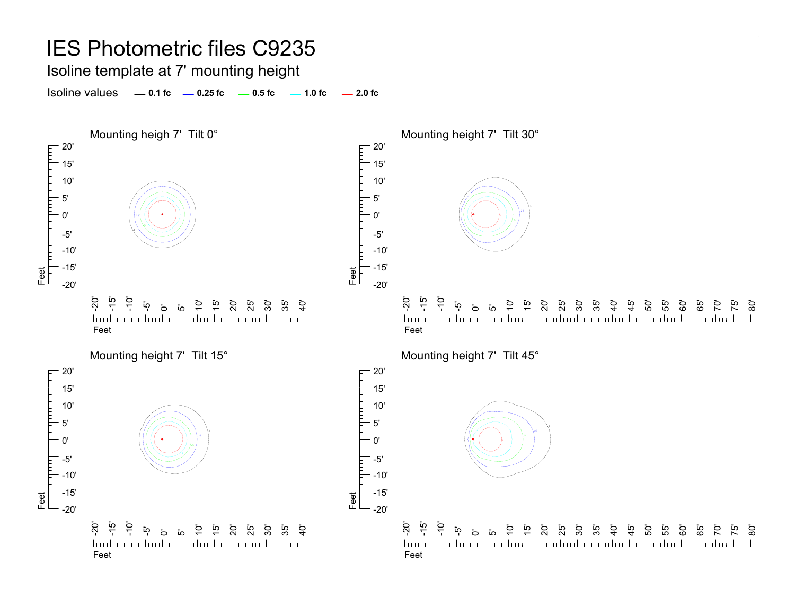Isoline template at 7' mounting height

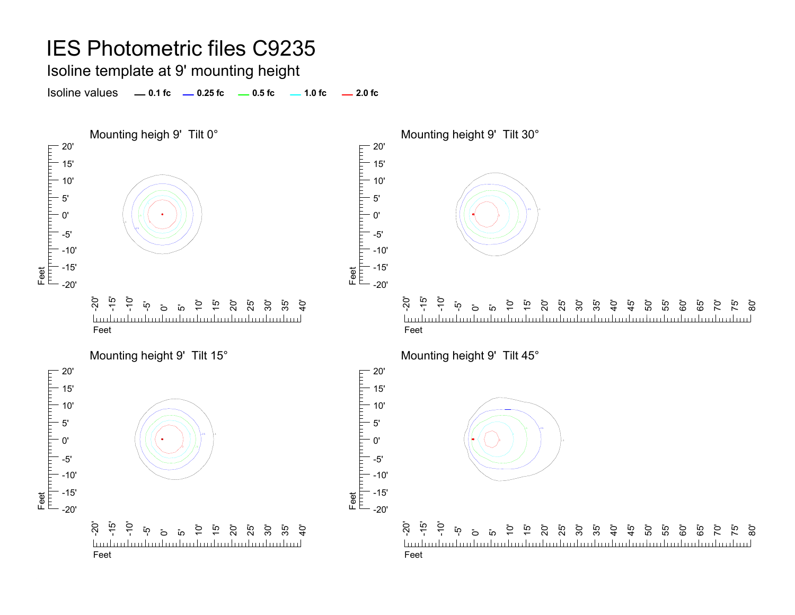Isoline template at 9' mounting height

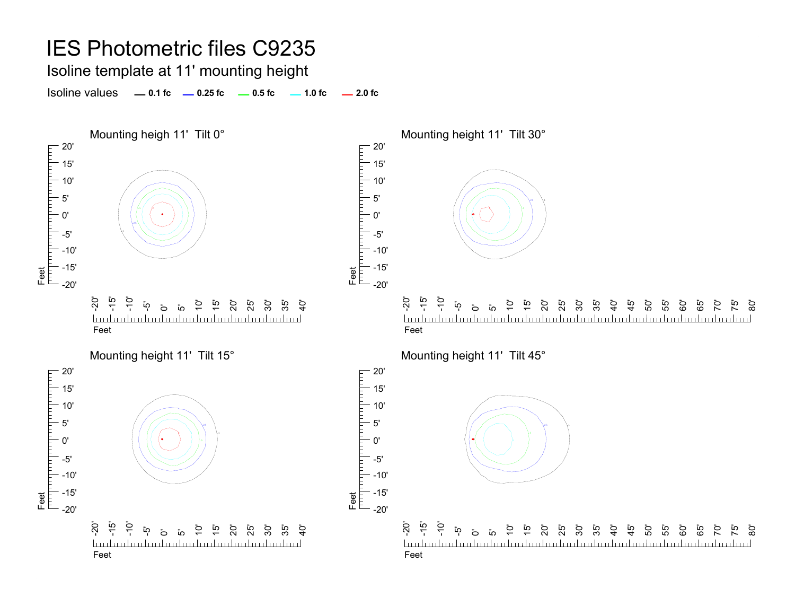Isoline template at 11' mounting height

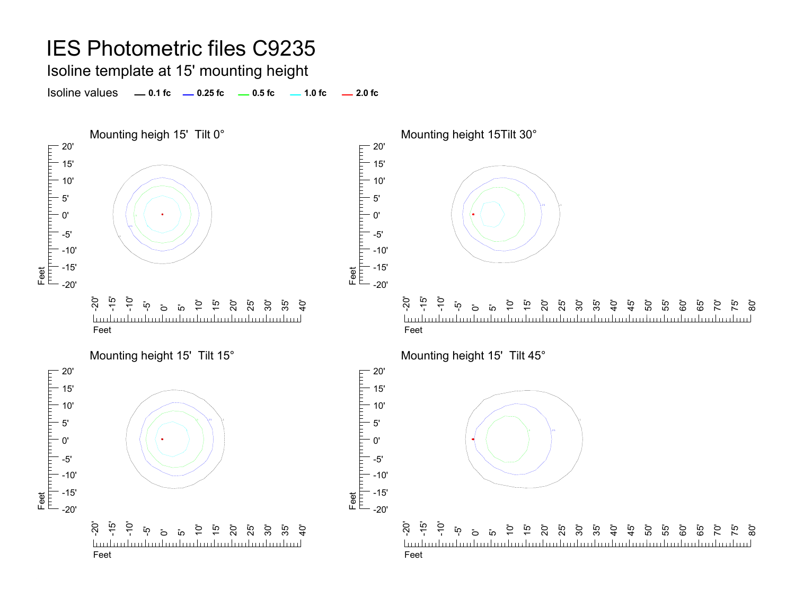Isoline template at 15' mounting height





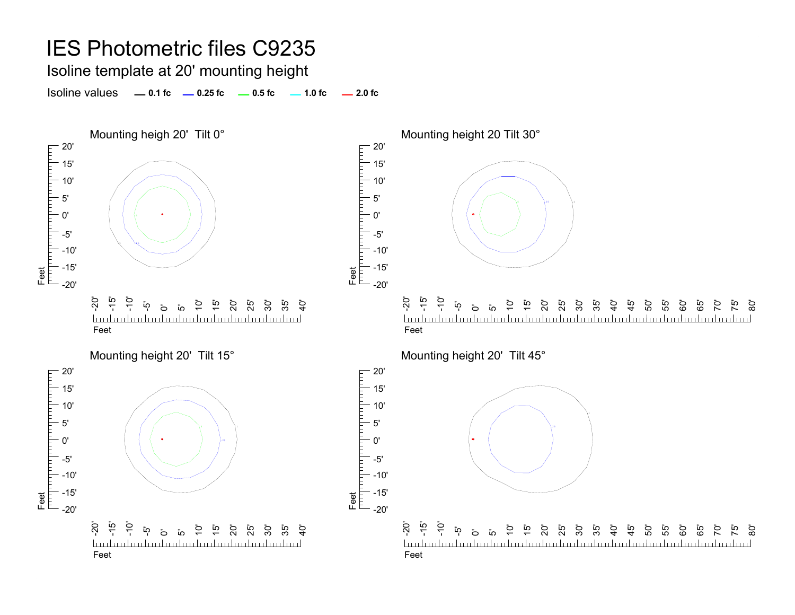Isoline template at 20' mounting height

Isoline values **0.1 fc 0.25 fc 0.5 fc 2.0 fc 1.0 fc**



Mounting height 20 Tilt 30°



Mounting height 20' Tilt 45°

Feet

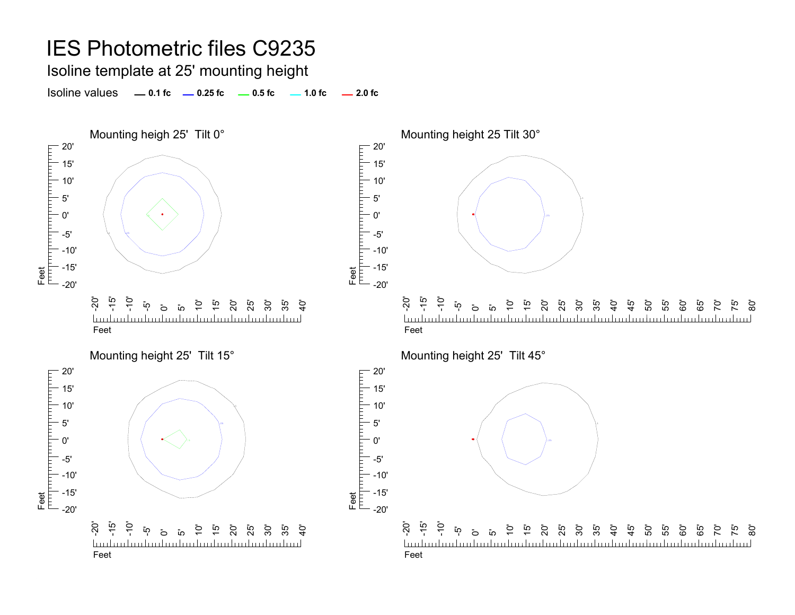Isoline template at 25' mounting height

Isoline values **0.1 fc 0.25 fc 0.5 fc 2.0 fc 1.0 fc**



Mounting height 25 Tilt 30°

Feet<br>[unpun|un|un|un|un|un|un|

Feet

5'



Mounting height 25' Tilt 45°

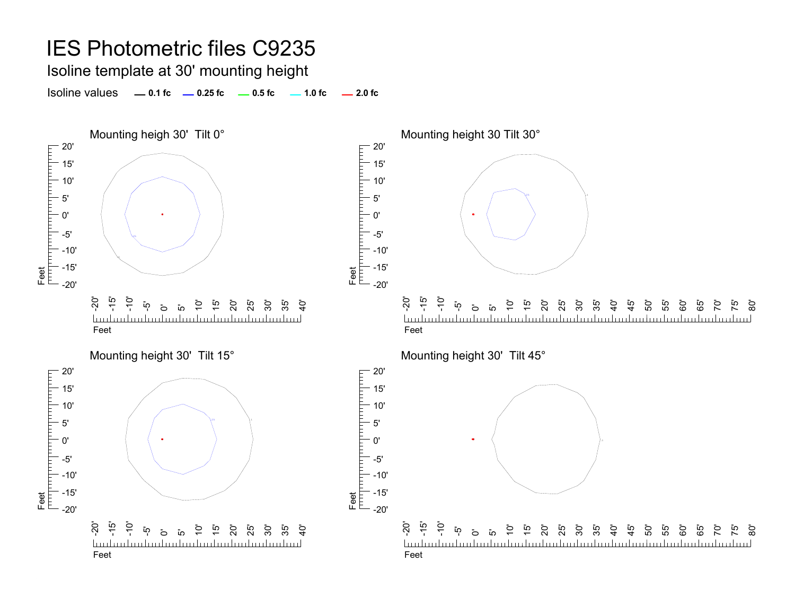Isoline template at 30' mounting height